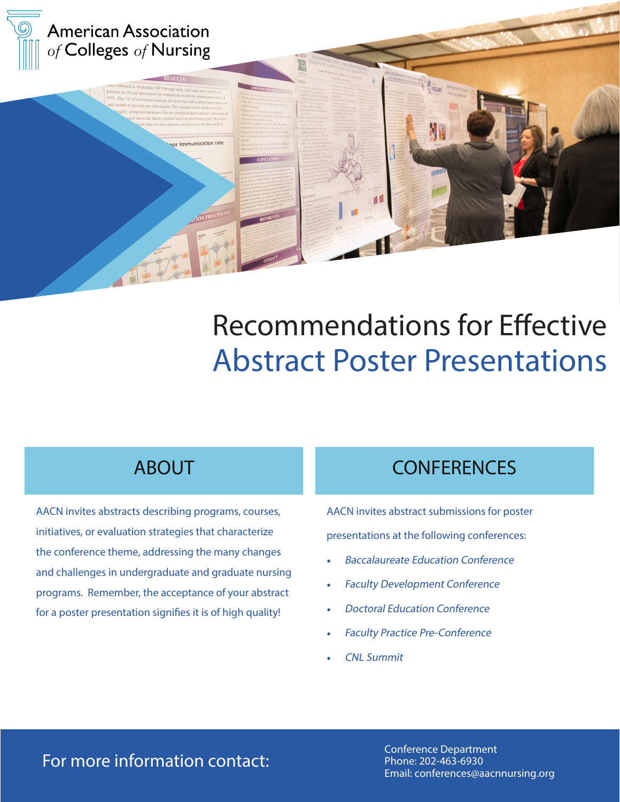

# Recommendations for Effective Abstract Poster Presentations

### ABOUT

AACN invites abstracts describing programs, courses, initiatives, or evaluation strategies that characterize the conference theme, addressing the many changes and challenges in undergraduate and graduate nursing programs. Remember, the acceptance of your abstract for a poster presentation signifies it is of high quality!

### **CONFERENCES**

AACN invites abstract submissions for poster presentations at the following conferences:

- Baccalaureate Education Conference
- **Faculty Development Conference**
- Doctoral Education Conference
- Faculty Practice Pre-Conference
- CNL Summit

### For more information contact:

Conference Department Phone: 202-463-6930 Email: conferences@aacnnursing.org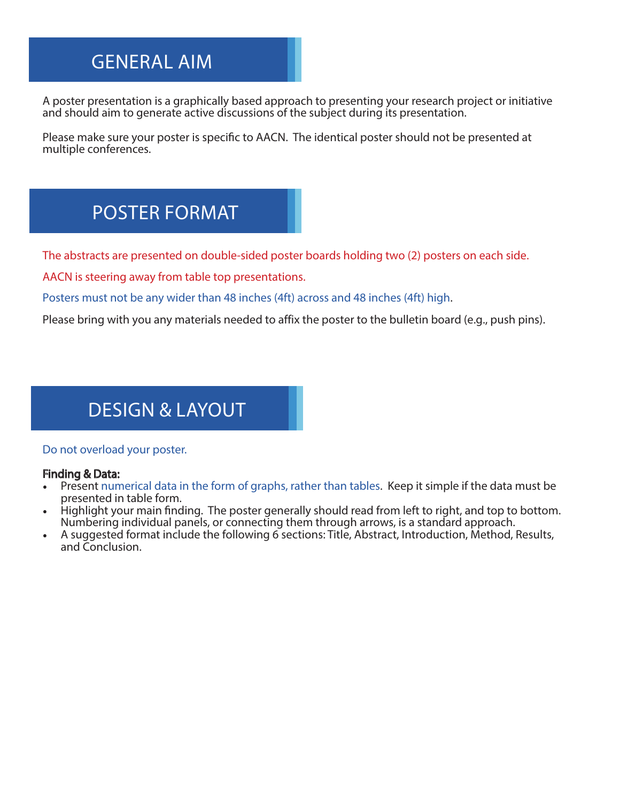### GENERAL AIM

A poster presentation is a graphically based approach to presenting your research project or initiative and should aim to generate active discussions of the subject during its presentation.

Please make sure your poster is specific to AACN. The identical poster should not be presented at multiple conferences.

### POSTER FORMAT

The abstracts are presented on double-sided poster boards holding two (2) posters on each side.

AACN is steering away from table top presentations.

Posters must not be any wider than 48 inches (4ft) across and 48 inches (4ft) high.

Please bring with you any materials needed to affix the poster to the bulletin board (e.g., push pins).

### DESIGN & LAYOUT

#### Do not overload your poster.

#### Finding & Data:

- Present numerical data in the form of graphs, rather than tables. Keep it simple if the data must be presented in table form.
- Highlight your main finding. The poster generally should read from left to right, and top to bottom. Numbering individual panels, or connecting them through arrows, is a standard approach.
- A suggested format include the following 6 sections: Title, Abstract, Introduction, Method, Results, and Conclusion.